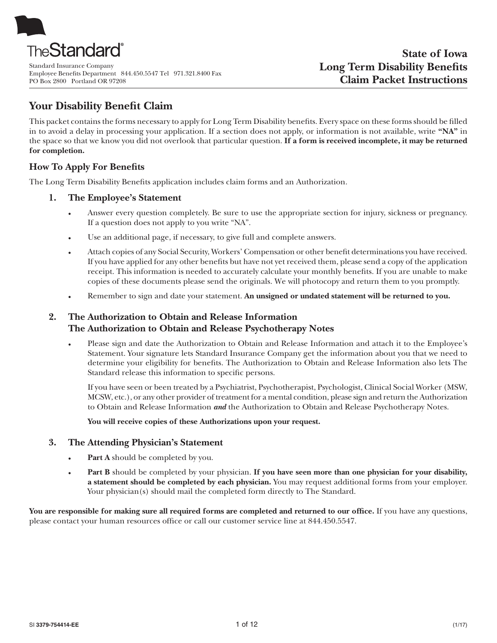

Standard Insurance Company Employee Benefits Department 844.450.5547 Tel 971.321.8400 Fax PO Box 2800 Portland OR 97208

# **Your Disability Benefit Claim**

This packet contains the forms necessary to apply for Long Term Disability benefits. Every space on these forms should be filled in to avoid a delay in processing your application. If a section does not apply, or information is not available, write **"NA"** in the space so that we know you did not overlook that particular question. **If a form is received incomplete, it may be returned for completion.**

## **How To Apply For Benefits**

The Long Term Disability Benefits application includes claim forms and an Authorization.

## **1. The Employee's Statement**

- Answer every question completely. Be sure to use the appropriate section for injury, sickness or pregnancy. If a question does not apply to you write "NA".
- Use an additional page, if necessary, to give full and complete answers.
- Attach copies of any Social Security, Workers' Compensation or other benefit determinations you have received. If you have applied for any other benefits but have not yet received them, please send a copy of the application receipt. This information is needed to accurately calculate your monthly benefits. If you are unable to make copies of these documents please send the originals. We will photocopy and return them to you promptly.
- Remember to sign and date your statement. An unsigned or undated statement will be returned to you.

## **2. The Authorization to Obtain and Release Information The Authorization to Obtain and Release Psychotherapy Notes**

Please sign and date the Authorization to Obtain and Release Information and attach it to the Employee's Statement. Your signature lets Standard Insurance Company get the information about you that we need to determine your eligibility for benefits. The Authorization to Obtain and Release Information also lets The Standard release this information to specific persons.

If you have seen or been treated by a Psychiatrist, Psychotherapist, Psychologist, Clinical Social Worker (MSW, MCSW, etc.), or any other provider of treatment for a mental condition, please sign and return the Authorization to Obtain and Release Information *and* the Authorization to Obtain and Release Psychotherapy Notes.

**You will receive copies of these Authorizations upon your request.**

## **3. The Attending Physician's Statement**

- **Part A** should be completed by you.
- Part B should be completed by your physician. If you have seen more than one physician for your disability, **a statement should be completed by each physician.** You may request additional forms from your employer. Your physician(s) should mail the completed form directly to The Standard.

You are responsible for making sure all required forms are completed and returned to our office. If you have any questions, please contact your human resources office or call our customer service line at 844.450.5547.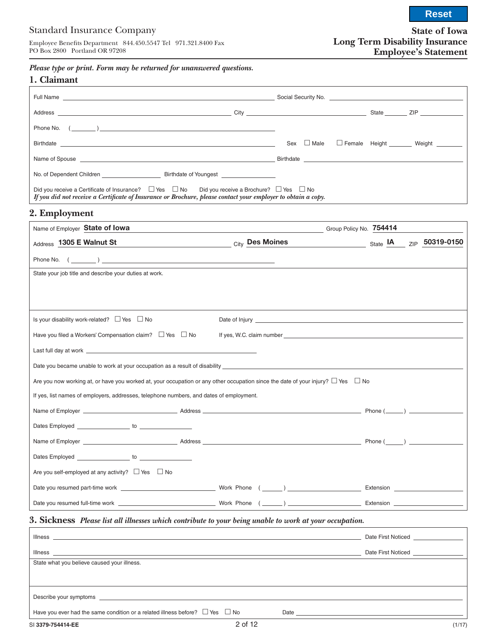# Standard Insurance Company

Employee Benefits Department 844.450.5547 Tel 971.321.8400 Fax PO Box 2800 Portland OR 97208

**State of Iowa Long Term Disability Insurance Employee's Statement**

*Please type or print. Form may be returned for unanswered questions.*

| 1. Claimant                                                                                                                                                                                                                           |                                                                                                                                                                                                                               |                 |  |                                       |
|---------------------------------------------------------------------------------------------------------------------------------------------------------------------------------------------------------------------------------------|-------------------------------------------------------------------------------------------------------------------------------------------------------------------------------------------------------------------------------|-----------------|--|---------------------------------------|
|                                                                                                                                                                                                                                       |                                                                                                                                                                                                                               |                 |  |                                       |
|                                                                                                                                                                                                                                       |                                                                                                                                                                                                                               |                 |  |                                       |
| Phone No. $($                                                                                                                                                                                                                         |                                                                                                                                                                                                                               |                 |  |                                       |
|                                                                                                                                                                                                                                       |                                                                                                                                                                                                                               | Sex $\Box$ Male |  | Female Height ________ Weight _______ |
|                                                                                                                                                                                                                                       |                                                                                                                                                                                                                               |                 |  |                                       |
| No. of Dependent Children <b>Example 20</b> Birthdate of Youngest                                                                                                                                                                     |                                                                                                                                                                                                                               |                 |  |                                       |
| Did you receive a Certificate of Insurance? $\Box$ Yes $\Box$ No Did you receive a Brochure? $\Box$ Yes $\Box$ No<br>If you did not receive a Certificate of Insurance or Brochure, please contact your employer to obtain a copy.    |                                                                                                                                                                                                                               |                 |  |                                       |
| 2. Employment                                                                                                                                                                                                                         | the control of the control of the control of the control of the control of the control of the control of the control of the control of the control of the control of the control of the control of the control of the control |                 |  |                                       |
| Name of Employer State of Iowa                                                                                                                                                                                                        | <u>Group Policy No. 3754414 [19] And The Community Community Community Community Community Community Community Co</u>                                                                                                         |                 |  |                                       |
| Address 1305 E Walnut St<br><b>City</b> Des Moines                                                                                                                                                                                    |                                                                                                                                                                                                                               |                 |  |                                       |
|                                                                                                                                                                                                                                       |                                                                                                                                                                                                                               |                 |  |                                       |
| State your job title and describe your duties at work.                                                                                                                                                                                |                                                                                                                                                                                                                               |                 |  |                                       |
|                                                                                                                                                                                                                                       |                                                                                                                                                                                                                               |                 |  |                                       |
|                                                                                                                                                                                                                                       |                                                                                                                                                                                                                               |                 |  |                                       |
| Is your disability work-related? $\Box$ Yes $\Box$ No                                                                                                                                                                                 |                                                                                                                                                                                                                               |                 |  |                                       |
| Have you filed a Workers' Compensation claim? $\Box$ Yes $\Box$ No                                                                                                                                                                    |                                                                                                                                                                                                                               |                 |  |                                       |
|                                                                                                                                                                                                                                       |                                                                                                                                                                                                                               |                 |  |                                       |
|                                                                                                                                                                                                                                       |                                                                                                                                                                                                                               |                 |  |                                       |
|                                                                                                                                                                                                                                       |                                                                                                                                                                                                                               |                 |  |                                       |
| Are you now working at, or have you worked at, your occupation or any other occupation since the date of your injury? $\Box$ Yes $\Box$ No<br>If yes, list names of employers, addresses, telephone numbers, and dates of employment. |                                                                                                                                                                                                                               |                 |  |                                       |
|                                                                                                                                                                                                                                       |                                                                                                                                                                                                                               |                 |  |                                       |
|                                                                                                                                                                                                                                       |                                                                                                                                                                                                                               |                 |  |                                       |
|                                                                                                                                                                                                                                       |                                                                                                                                                                                                                               |                 |  |                                       |
|                                                                                                                                                                                                                                       | <b>Example 19 Index 19 Inches (Comparently 2004)</b>                                                                                                                                                                          |                 |  |                                       |
|                                                                                                                                                                                                                                       |                                                                                                                                                                                                                               |                 |  |                                       |
| Are you self-employed at any activity? $\Box$ Yes $\Box$ No                                                                                                                                                                           |                                                                                                                                                                                                                               |                 |  |                                       |
|                                                                                                                                                                                                                                       |                                                                                                                                                                                                                               |                 |  |                                       |
|                                                                                                                                                                                                                                       |                                                                                                                                                                                                                               |                 |  |                                       |
| 3. Sickness Please list all illnesses which contribute to your being unable to work at your occupation.                                                                                                                               |                                                                                                                                                                                                                               |                 |  |                                       |
|                                                                                                                                                                                                                                       |                                                                                                                                                                                                                               |                 |  |                                       |
| Illness <b>Allen Bank and Street Bank and Street Allen Bank and Street Allen Bank and Street Allen Bank and Street</b>                                                                                                                |                                                                                                                                                                                                                               |                 |  |                                       |
| State what you believe caused your illness.                                                                                                                                                                                           |                                                                                                                                                                                                                               |                 |  |                                       |
|                                                                                                                                                                                                                                       |                                                                                                                                                                                                                               |                 |  |                                       |
| Describe your symptoms contains the contract of the contract of the contract of the contract of the contract of the contract of the contract of the contract of the contract of the contract of the contract of the contract o        |                                                                                                                                                                                                                               |                 |  |                                       |
|                                                                                                                                                                                                                                       |                                                                                                                                                                                                                               |                 |  |                                       |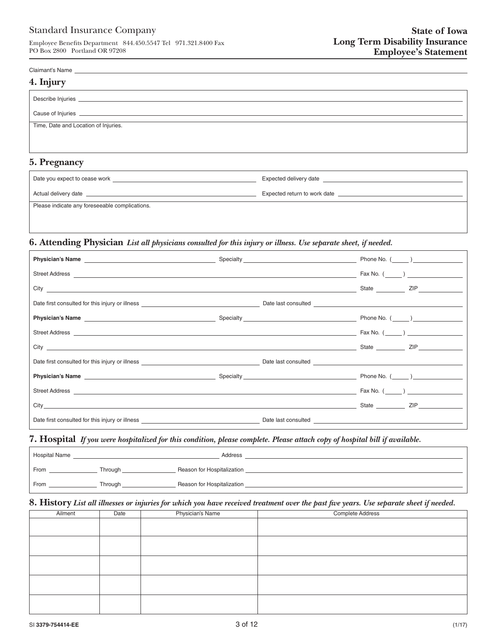Employee Benefits Department 844.450.5547 Tel 971.321.8400 Fax PO Box 2800 Portland OR 97208

#### Claimant's Name

| 4. Injury                                                                                                                                                                                                                            |  |  |  |
|--------------------------------------------------------------------------------------------------------------------------------------------------------------------------------------------------------------------------------------|--|--|--|
| Describe Injuries <b>Describe Interventional Contract Contract Contract Contract Contract Contract Contract Contract Contract Contract Contract Contract Contract Contract Contract Contract Contract Contract Contract Contract</b> |  |  |  |
|                                                                                                                                                                                                                                      |  |  |  |
| Time, Date and Location of Injuries.                                                                                                                                                                                                 |  |  |  |
|                                                                                                                                                                                                                                      |  |  |  |
| 5. Pregnancy                                                                                                                                                                                                                         |  |  |  |

| Date you expect to cease work                  | Expected delivery date       |
|------------------------------------------------|------------------------------|
| Actual delivery date                           | Expected return to work date |
| Please indicate any foreseeable complications. |                              |
|                                                |                              |

## **6. Attending Physician** *List all physicians consulted for this injury or illness. Use separate sheet, if needed.*

| Street Address Fax No. (2008) No. 2 (2009) No. 2 (2009) No. 2 (2009) No. 2 (2009) No. 2 (2009) No. 2 (2009) No. 2 (2009) No. 2 (2009) No. 2 (2009) No. 2 (2009) No. 2 (2009) No. 2 (2009) No. 2 (2009) No. 2 (2009) No. 2 (200       |                                                                                                                                                                                                                                    |  |
|--------------------------------------------------------------------------------------------------------------------------------------------------------------------------------------------------------------------------------------|------------------------------------------------------------------------------------------------------------------------------------------------------------------------------------------------------------------------------------|--|
|                                                                                                                                                                                                                                      |                                                                                                                                                                                                                                    |  |
|                                                                                                                                                                                                                                      |                                                                                                                                                                                                                                    |  |
|                                                                                                                                                                                                                                      |                                                                                                                                                                                                                                    |  |
|                                                                                                                                                                                                                                      |                                                                                                                                                                                                                                    |  |
| City <u>contract the contract of the contract of the contract of the contract of the contract of the contract of the contract of the contract of the contract of the contract of the contract of the contract of the contract of</u> | <u>Example 2</u> State State State State State State State State State State State State State State State State State State State State State State State State State State State State State State State State State State State |  |
| Date first consulted for this injury or illness entropy and the state of the state of the state of the state of the state of the state of the state of the state of the state of the state of the state of the state of the st       |                                                                                                                                                                                                                                    |  |
|                                                                                                                                                                                                                                      |                                                                                                                                                                                                                                    |  |
|                                                                                                                                                                                                                                      |                                                                                                                                                                                                                                    |  |
| City State ZIP                                                                                                                                                                                                                       |                                                                                                                                                                                                                                    |  |
| Date first consulted for this injury or illness <b>Source Accord 2008</b> 2009 2016 2017 Date last consulted                                                                                                                         |                                                                                                                                                                                                                                    |  |

## **7. Hospital** *If you were hospitalized for this condition, please complete. Please attach copy of hospital bill if available.*

| <b>Hospital Name</b> |         | Address                    |  |
|----------------------|---------|----------------------------|--|
| From                 | Through | Reason for Hospitalization |  |
| From                 | Through | Reason for Hospitalization |  |

## **8. History** *List all illnesses or injuries for which you have received treatment over the past five years. Use separate sheet if needed.*

| Ailment | Date | Physician's Name | Complete Address |
|---------|------|------------------|------------------|
|         |      |                  |                  |
|         |      |                  |                  |
|         |      |                  |                  |
|         |      |                  |                  |
|         |      |                  |                  |
|         |      |                  |                  |
|         |      |                  |                  |
|         |      |                  |                  |
|         |      |                  |                  |
|         |      |                  |                  |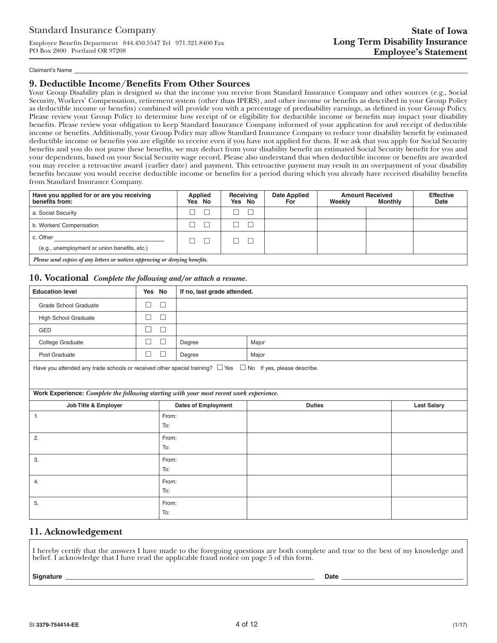## Standard Insurance Company

Employee Benefits Department 844.450.5547 Tel 971.321.8400 Fax PO Box 2800 Portland OR 97208

#### Claimant's Name

## **9. Deductible Income/Benefits From Other Sources**

Your Group Disability plan is designed so that the income you receive from Standard Insurance Company and other sources (e.g., Social Security, Workers' Compensation, retirement system (other than IPERS), and other income or benefits as described in your Group Policy as deductible income or benefits) combined will provide you with a percentage of predisability earnings, as defined in your Group Policy. Please review your Group Policy to determine how receipt of or eligibility for deductible income or benefits may impact your disability benefits. Please review your obligation to keep Standard Insurance Company informed of your application for and receipt of deductible income or benefits. Additionally, your Group Policy may allow Standard Insurance Company to reduce your disability benefit by estimated deductible income or benefits you are eligible to receive even if you have not applied for them. If we ask that you apply for Social Security benefits and you do not purse these benefits, we may deduct from your disability benefit an estimated Social Security benefit for you and your dependents, based on your Social Security wage record. Please also understand that when deductible income or benefits are awarded you may receive a retroactive award (earlier date) and payment. This retroactive payment may result in an overpayment of your disability benefits because you would receive deductible income or benefits for a period during which you already have received disability benefits from Standard Insurance Company.

| Have you applied for or are you receiving<br>benefits from:                 | Applied<br>Yes No | Receiving<br>Yes No | <b>Date Applied</b><br>For | Weekly | <b>Amount Received</b><br><b>Monthly</b> | <b>Effective</b><br>Date |
|-----------------------------------------------------------------------------|-------------------|---------------------|----------------------------|--------|------------------------------------------|--------------------------|
| a. Social Security                                                          |                   |                     |                            |        |                                          |                          |
| b. Workers' Compensation                                                    |                   |                     |                            |        |                                          |                          |
| c. Other<br>(e.g., unemployment or union benefits, etc.)                    |                   |                     |                            |        |                                          |                          |
| Please send copies of any letters or notices approving or denving benefits. |                   |                     |                            |        |                                          |                          |

*Please send copies of any letters or notices approving or denying benefits.*

## **10. Vocational** *Complete the following and/or attach a resume.*

| <b>Education level</b>                                                                                                | Yes No |              |                            | If no, last grade attended. |                    |  |  |  |
|-----------------------------------------------------------------------------------------------------------------------|--------|--------------|----------------------------|-----------------------------|--------------------|--|--|--|
| <b>Grade School Graduate</b>                                                                                          | $\Box$ | $\Box$       |                            |                             |                    |  |  |  |
| <b>High School Graduate</b>                                                                                           | $\Box$ | $\Box$       |                            |                             |                    |  |  |  |
| GED                                                                                                                   | $\Box$ | $\Box$       |                            |                             |                    |  |  |  |
| College Graduate                                                                                                      | $\Box$ | $\Box$       | Degree                     | Major                       |                    |  |  |  |
| Post Graduate                                                                                                         | $\Box$ | $\Box$       | Degree                     | Major                       |                    |  |  |  |
| Have you attended any trade schools or received other special training? $\Box$ Yes $\Box$ No If yes, please describe. |        |              |                            |                             |                    |  |  |  |
| Work Experience: Complete the following starting with your most recent work experience.                               |        |              |                            |                             |                    |  |  |  |
| Job Title & Employer                                                                                                  |        |              | <b>Dates of Employment</b> | <b>Duties</b>               | <b>Last Salary</b> |  |  |  |
| 1.                                                                                                                    |        | From:<br>To: |                            |                             |                    |  |  |  |
| 2.                                                                                                                    |        | From:<br>To: |                            |                             |                    |  |  |  |
| 3.                                                                                                                    |        | From:<br>To: |                            |                             |                    |  |  |  |
| 4.                                                                                                                    |        | From:<br>To: |                            |                             |                    |  |  |  |
| 5.                                                                                                                    |        | From:<br>To: |                            |                             |                    |  |  |  |

## **11. Acknowledgement**

I hereby certify that the answers I have made to the foregoing questions are both complete and true to the best of my knowledge and belief. I acknowledge that I have read the applicable fraud notice on page 5 of this form.

#### **Signature Date**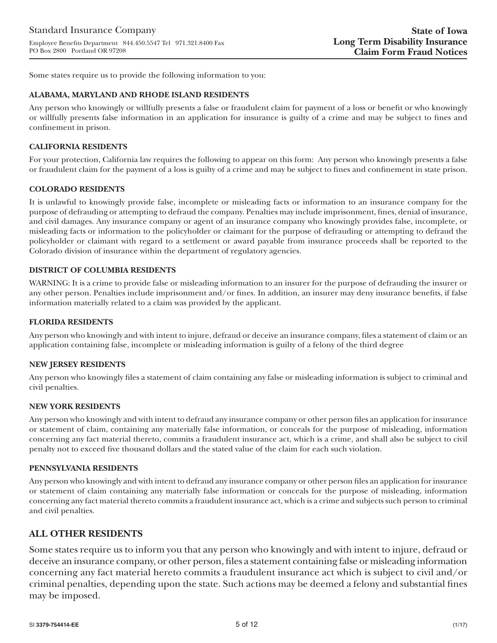Some states require us to provide the following information to you:

## **ALABAMA, MARYLAND AND RHODE ISLAND RESIDENTS**

Any person who knowingly or willfully presents a false or fraudulent claim for payment of a loss or benefit or who knowingly or willfully presents false information in an application for insurance is guilty of a crime and may be subject to fines and confinement in prison.

## **CALIFORNIA RESIDENTS**

For your protection, California law requires the following to appear on this form: Any person who knowingly presents a false or fraudulent claim for the payment of a loss is guilty of a crime and may be subject to fines and confinement in state prison.

## **COLORADO RESIDENTS**

It is unlawful to knowingly provide false, incomplete or misleading facts or information to an insurance company for the purpose of defrauding or attempting to defraud the company. Penalties may include imprisonment, fines, denial of insurance, and civil damages. Any insurance company or agent of an insurance company who knowingly provides false, incomplete, or misleading facts or information to the policyholder or claimant for the purpose of defrauding or attempting to defraud the policyholder or claimant with regard to a settlement or award payable from insurance proceeds shall be reported to the Colorado division of insurance within the department of regulatory agencies.

## **DISTRICT OF COLUMBIA RESIDENTS**

WARNING: It is a crime to provide false or misleading information to an insurer for the purpose of defrauding the insurer or any other person. Penalties include imprisonment and/or fines. In addition, an insurer may deny insurance benefits, if false information materially related to a claim was provided by the applicant.

## **FLORIDA RESIDENTS**

Any person who knowingly and with intent to injure, defraud or deceive an insurance company, files a statement of claim or an application containing false, incomplete or misleading information is guilty of a felony of the third degree

#### **NEW JERSEY RESIDENTS**

Any person who knowingly files a statement of claim containing any false or misleading information is subject to criminal and civil penalties.

#### **NEW YORK RESIDENTS**

Any person who knowingly and with intent to defraud any insurance company or other person files an application for insurance or statement of claim, containing any materially false information, or conceals for the purpose of misleading, information concerning any fact material thereto, commits a fraudulent insurance act, which is a crime, and shall also be subject to civil penalty not to exceed five thousand dollars and the stated value of the claim for each such violation.

#### **PENNSYLVANIA RESIDENTS**

Any person who knowingly and with intent to defraud any insurance company or other person files an application for insurance or statement of claim containing any materially false information or conceals for the purpose of misleading, information concerning any fact material thereto commits a fraudulent insurance act, which is a crime and subjects such person to criminal and civil penalties.

## **ALL OTHER RESIDENTS**

Some states require us to inform you that any person who knowingly and with intent to injure, defraud or deceive an insurance company, or other person, files a statement containing false or misleading information concerning any fact material hereto commits a fraudulent insurance act which is subject to civil and/or criminal penalties, depending upon the state. Such actions may be deemed a felony and substantial fines may be imposed.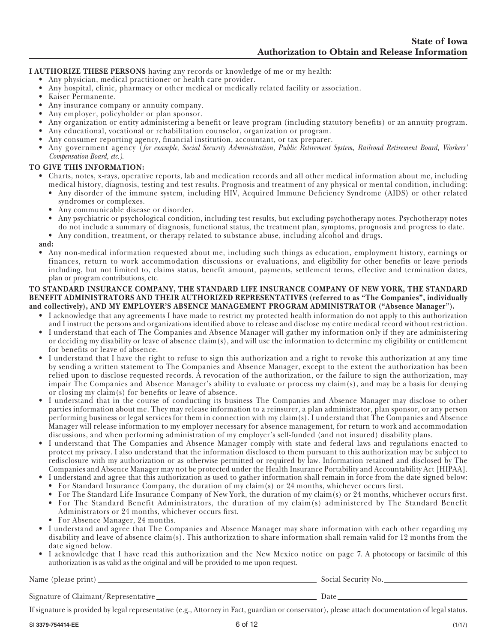**I AUTHORIZE THESE PERSONS** having any records or knowledge of me or my health:

- Any physician, medical practitioner or health care provider.
- Any hospital, clinic, pharmacy or other medical or medically related facility or association.
- Kaiser Permanente.
- Any insurance company or annuity company.
- Any employer, policyholder or plan sponsor.
- Any organization or entity administering a benefit or leave program (including statutory benefits) or an annuity program.
- Any educational, vocational or rehabilitation counselor, organization or program.
- Any consumer reporting agency, financial institution, accountant, or tax preparer.
- Any government agency (*for example, Social Security Administration, Public Retirement System, Railroad Retirement Board, Workers' Compensation Board, etc.).*

#### **TO GIVE THIS INFORMATION:**

- Charts, notes, x-rays, operative reports, lab and medication records and all other medical information about me, including medical history, diagnosis, testing and test results. Prognosis and treatment of any physical or mental condition, including:
	- Any disorder of the immune system, including HIV, Acquired Immune Deficiency Syndrome (AIDS) or other related syndromes or complexes.
	- Any communicable disease or disorder.
	- Any psychiatric or psychological condition, including test results, but excluding psychotherapy notes. Psychotherapy notes do not include a summary of diagnosis, functional status, the treatment plan, symptoms, prognosis and progress to date.
	- Any condition, treatment, or therapy related to substance abuse, including alcohol and drugs.

**and:** 

• Any non-medical information requested about me, including such things as education, employment history, earnings or finances, return to work accommodation discussions or evaluations, and eligibility for other benefits or leave periods including, but not limited to, claims status, benefit amount, payments, settlement terms, effective and termination dates, plan or program contributions, etc.

#### **TO STANDARD INSURANCE COMPANY, THE STANDARD LIFE INSURANCE COMPANY OF NEW YORK, THE STANDARD BENEFIT ADMINISTRATORS AND THEIR AUTHORIZED REPRESENTATIVES (referred to as "The Companies", individually and collectively), AND MY EMPLOYER'S ABSENCE MANAGEMENT PROGRAM ADMINISTRATOR ("Absence Manager").**

- I acknowledge that any agreements I have made to restrict my protected health information do not apply to this authorization and I instruct the persons and organizations identified above to release and disclose my entire medical record without restriction.
- I understand that each of The Companies and Absence Manager will gather my information only if they are administering or deciding my disability or leave of absence claim(s), and will use the information to determine my eligibility or entitlement for benefits or leave of absence.
- I understand that I have the right to refuse to sign this authorization and a right to revoke this authorization at any time by sending a written statement to The Companies and Absence Manager, except to the extent the authorization has been relied upon to disclose requested records. A revocation of the authorization, or the failure to sign the authorization, may impair The Companies and Absence Manager's ability to evaluate or process my claim(s), and may be a basis for denying or closing my claim(s) for benefits or leave of absence.
- I understand that in the course of conducting its business The Companies and Absence Manager may disclose to other parties information about me. They may release information to a reinsurer, a plan administrator, plan sponsor, or any person performing business or legal services for them in connection with my claim(s). I understand that The Companies and Absence Manager will release information to my employer necessary for absence management, for return to work and accommodation discussions, and when performing administration of my employer's self-funded (and not insured) disability plans.
- I understand that The Companies and Absence Manager comply with state and federal laws and regulations enacted to protect my privacy. I also understand that the information disclosed to them pursuant to this authorization may be subject to redisclosure with my authorization or as otherwise permitted or required by law. Information retained and disclosed by The Companies and Absence Manager may not be protected under the Health Insurance Portability and Accountability Act [HIPAA].
- I understand and agree that this authorization as used to gather information shall remain in force from the date signed below:
- For Standard Insurance Company, the duration of my claim(s) or 24 months, whichever occurs first.
- For The Standard Life Insurance Company of New York, the duration of my claim(s) or 24 months, whichever occurs first. • For The Standard Benefit Administrators, the duration of my claim(s) administered by The Standard Benefit
- Administrators or 24 months, whichever occurs first.
- For Absence Manager, 24 months.
- I understand and agree that The Companies and Absence Manager may share information with each other regarding my disability and leave of absence claim(s). This authorization to share information shall remain valid for 12 months from the date signed below.
- I acknowledge that I have read this authorization and the New Mexico notice on page 7. A photocopy or facsimile of this authorization is as valid as the original and will be provided to me upon request.

Name (please print) Social Security No.

Signature of Claimant/Representative Lateration Date Date

If signature is provided by legal representative (e.g., Attorney in Fact, guardian or conservator), please attach documentation of legal status.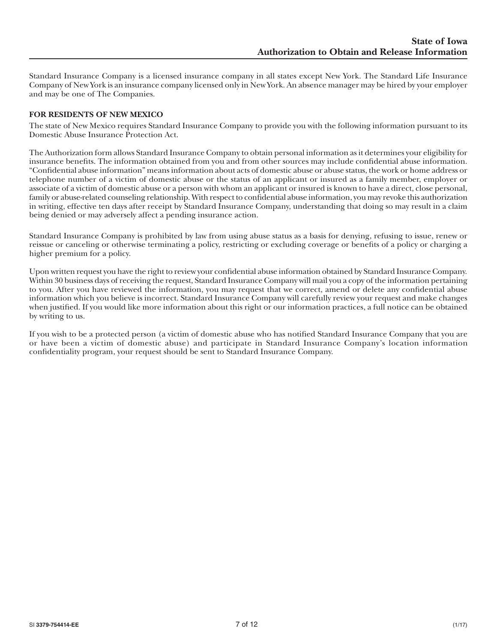Standard Insurance Company is a licensed insurance company in all states except New York. The Standard Life Insurance Company of New York is an insurance company licensed only in New York. An absence manager may be hired by your employer and may be one of The Companies.

## **FOR RESIDENTS OF NEW MEXICO**

The state of New Mexico requires Standard Insurance Company to provide you with the following information pursuant to its Domestic Abuse Insurance Protection Act.

The Authorization form allows Standard Insurance Company to obtain personal information as it determines your eligibility for insurance benefits. The information obtained from you and from other sources may include confidential abuse information. "Confidential abuse information" means information about acts of domestic abuse or abuse status, the work or home address or telephone number of a victim of domestic abuse or the status of an applicant or insured as a family member, employer or associate of a victim of domestic abuse or a person with whom an applicant or insured is known to have a direct, close personal, family or abuse-related counseling relationship. With respect to confidential abuse information, you may revoke this authorization in writing, effective ten days after receipt by Standard Insurance Company, understanding that doing so may result in a claim being denied or may adversely affect a pending insurance action.

Standard Insurance Company is prohibited by law from using abuse status as a basis for denying, refusing to issue, renew or reissue or canceling or otherwise terminating a policy, restricting or excluding coverage or benefits of a policy or charging a higher premium for a policy.

Upon written request you have the right to review your confidential abuse information obtained by Standard Insurance Company. Within 30 business days of receiving the request, Standard Insurance Company will mail you a copy of the information pertaining to you. After you have reviewed the information, you may request that we correct, amend or delete any confidential abuse information which you believe is incorrect. Standard Insurance Company will carefully review your request and make changes when justified. If you would like more information about this right or our information practices, a full notice can be obtained by writing to us.

If you wish to be a protected person (a victim of domestic abuse who has notified Standard Insurance Company that you are or have been a victim of domestic abuse) and participate in Standard Insurance Company's location information confidentiality program, your request should be sent to Standard Insurance Company.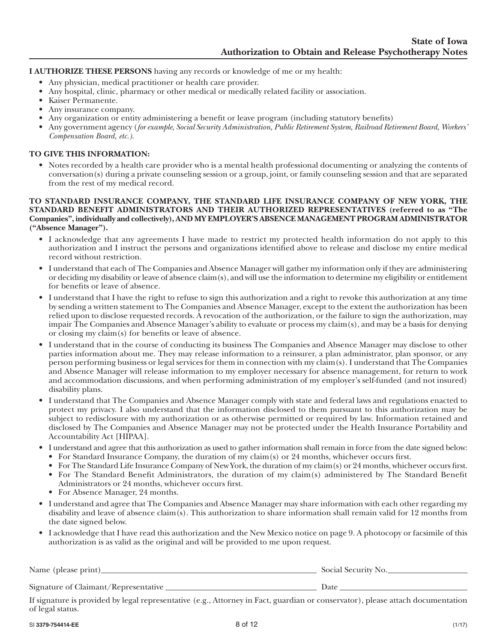## **I AUTHORIZE THESE PERSONS** having any records or knowledge of me or my health:

- Any physician, medical practitioner or health care provider.
- Any hospital, clinic, pharmacy or other medical or medically related facility or association.
- Kaiser Permanente.
- Any insurance company.
- Any organization or entity administering a benefit or leave program (including statutory benefits)
- Any government agency (*for example, Social Security Administration, Public Retirement System, Railroad Retirement Board, Workers' Compensation Board, etc.).*

## **TO GIVE THIS INFORMATION:**

• Notes recorded by a health care provider who is a mental health professional documenting or analyzing the contents of conversation(s) during a private counseling session or a group, joint, or family counseling session and that are separated from the rest of my medical record.

## **TO STANDARD INSURANCE COMPANY, THE STANDARD LIFE INSURANCE COMPANY OF NEW YORK, THE STANDARD BENEFIT ADMINISTRATORS AND THEIR AUTHORIZED REPRESENTATIVES (referred to as "The Companies", individually and collectively), AND MY EMPLOYER'S ABSENCE MANAGEMENT PROGRAM ADMINISTRATOR ("Absence Manager").**

- I acknowledge that any agreements I have made to restrict my protected health information do not apply to this authorization and I instruct the persons and organizations identified above to release and disclose my entire medical record without restriction.
- I understand that each of The Companies and Absence Manager will gather my information only if they are administering or deciding my disability or leave of absence claim(s), and will use the information to determine my eligibility or entitlement for benefits or leave of absence.
- I understand that I have the right to refuse to sign this authorization and a right to revoke this authorization at any time by sending a written statement to The Companies and Absence Manager, except to the extent the authorization has been relied upon to disclose requested records. A revocation of the authorization, or the failure to sign the authorization, may impair The Companies and Absence Manager's ability to evaluate or process my claim(s), and may be a basis for denying or closing my claim(s) for benefits or leave of absence.
- I understand that in the course of conducting its business The Companies and Absence Manager may disclose to other parties information about me. They may release information to a reinsurer, a plan administrator, plan sponsor, or any person performing business or legal services for them in connection with my claim(s). I understand that The Companies and Absence Manager will release information to my employer necessary for absence management, for return to work and accommodation discussions, and when performing administration of my employer's self-funded (and not insured) disability plans.
- I understand that The Companies and Absence Manager comply with state and federal laws and regulations enacted to protect my privacy. I also understand that the information disclosed to them pursuant to this authorization may be subject to redisclosure with my authorization or as otherwise permitted or required by law. Information retained and disclosed by The Companies and Absence Manager may not be protected under the Health Insurance Portability and Accountability Act [HIPAA].
- I understand and agree that this authorization as used to gather information shall remain in force from the date signed below:
	- For Standard Insurance Company, the duration of my claim(s) or 24 months, whichever occurs first.
	- For The Standard Life Insurance Company of New York, the duration of my claim(s) or 24 months, whichever occurs first. • For The Standard Benefit Administrators, the duration of my claim(s) administered by The Standard Benefit Administrators or 24 months, whichever occurs first.
	-
	- For Absence Manager, 24 months.
- I understand and agree that The Companies and Absence Manager may share information with each other regarding my disability and leave of absence  $\text{claim}(s)$ . This authorization to share information shall remain valid for 12 months from the date signed below.
- I acknowledge that I have read this authorization and the New Mexico notice on page 9. A photocopy or facsimile of this authorization is as valid as the original and will be provided to me upon request.

| Name (please print)_                 | Social Security No. |
|--------------------------------------|---------------------|
| Signature of Claimant/Representative | Date                |

If signature is provided by legal representative (e.g., Attorney in Fact, guardian or conservator), please attach documentation of legal status.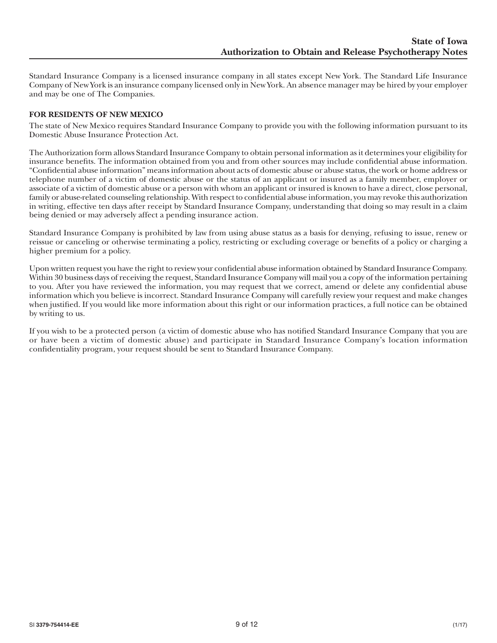Standard Insurance Company is a licensed insurance company in all states except New York. The Standard Life Insurance Company of New York is an insurance company licensed only in New York. An absence manager may be hired by your employer and may be one of The Companies.

## **FOR RESIDENTS OF NEW MEXICO**

The state of New Mexico requires Standard Insurance Company to provide you with the following information pursuant to its Domestic Abuse Insurance Protection Act.

The Authorization form allows Standard Insurance Company to obtain personal information as it determines your eligibility for insurance benefits. The information obtained from you and from other sources may include confidential abuse information. "Confidential abuse information" means information about acts of domestic abuse or abuse status, the work or home address or telephone number of a victim of domestic abuse or the status of an applicant or insured as a family member, employer or associate of a victim of domestic abuse or a person with whom an applicant or insured is known to have a direct, close personal, family or abuse-related counseling relationship. With respect to confidential abuse information, you may revoke this authorization in writing, effective ten days after receipt by Standard Insurance Company, understanding that doing so may result in a claim being denied or may adversely affect a pending insurance action.

Standard Insurance Company is prohibited by law from using abuse status as a basis for denying, refusing to issue, renew or reissue or canceling or otherwise terminating a policy, restricting or excluding coverage or benefits of a policy or charging a higher premium for a policy.

Upon written request you have the right to review your confidential abuse information obtained by Standard Insurance Company. Within 30 business days of receiving the request, Standard Insurance Company will mail you a copy of the information pertaining to you. After you have reviewed the information, you may request that we correct, amend or delete any confidential abuse information which you believe is incorrect. Standard Insurance Company will carefully review your request and make changes when justified. If you would like more information about this right or our information practices, a full notice can be obtained by writing to us.

If you wish to be a protected person (a victim of domestic abuse who has notified Standard Insurance Company that you are or have been a victim of domestic abuse) and participate in Standard Insurance Company's location information confidentiality program, your request should be sent to Standard Insurance Company.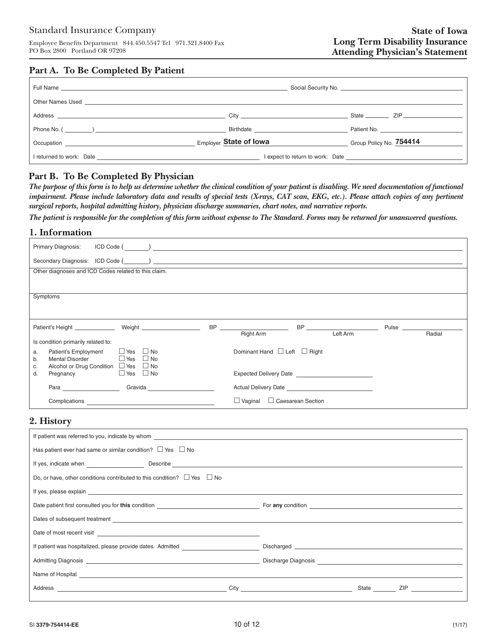# **Part A. To Be Completed By Patient**

|                                                                                                                                                                                                                                |                        | State <u>Communication</u> ZIP                                                                                                                   |
|--------------------------------------------------------------------------------------------------------------------------------------------------------------------------------------------------------------------------------|------------------------|--------------------------------------------------------------------------------------------------------------------------------------------------|
|                                                                                                                                                                                                                                |                        |                                                                                                                                                  |
|                                                                                                                                                                                                                                | Employer State of Iowa | Group Policy No. 754414<br><u> 1989 - Jan Barbara Barbara, prima prima prima prima prima prima prima prima prima prima prima prima prima pri</u> |
| I returned to work: Date and the contract of the contract of the contract of the contract of the contract of the contract of the contract of the contract of the contract of the contract of the contract of the contract of t |                        |                                                                                                                                                  |

# **Part B. To Be Completed By Physician**

*The purpose of this form is to help us determine whether the clinical condition of your patient is disabling. We need documentation of functional impairment. Please include laboratory data and results of special tests (X-rays, CAT scan, EKG, etc.). Please attach copies of any pertinent surgical reports, hospital admitting history, physician discharge summaries, chart notes, and narrative reports.*

*The patient is responsible for the completion of this form without expense to The Standard. Forms may be returned for unanswered questions.*

# **1. Information**

| Primary Diagnosis:                                                                                                                                                                                                                                              |                                                                                                                                                                                                                                                                            |
|-----------------------------------------------------------------------------------------------------------------------------------------------------------------------------------------------------------------------------------------------------------------|----------------------------------------------------------------------------------------------------------------------------------------------------------------------------------------------------------------------------------------------------------------------------|
|                                                                                                                                                                                                                                                                 |                                                                                                                                                                                                                                                                            |
| Other diagnoses and ICD Codes related to this claim.                                                                                                                                                                                                            |                                                                                                                                                                                                                                                                            |
|                                                                                                                                                                                                                                                                 |                                                                                                                                                                                                                                                                            |
| Symptoms                                                                                                                                                                                                                                                        |                                                                                                                                                                                                                                                                            |
|                                                                                                                                                                                                                                                                 |                                                                                                                                                                                                                                                                            |
| Patient's Height _______________ Weight ____________________                                                                                                                                                                                                    | BP and the contract of the contract of the contract of the contract of the contract of the contract of the contract of the contract of the contract of the contract of the contract of the contract of the contract of the con<br>Pulse<br>Left Arm<br>Right Arm<br>Radial |
| Is condition primarily related to:                                                                                                                                                                                                                              |                                                                                                                                                                                                                                                                            |
| $\Box$ Yes $\Box$ No<br><b>Patient's Employment</b><br>a.<br>Mental Disorder $\Box$ Yes $\Box$ No<br>b.                                                                                                                                                         | Dominant Hand $\Box$ Left $\Box$ Right                                                                                                                                                                                                                                     |
| Alcohol or Drug Condition $\Box$ Yes $\Box$ No<br>c.                                                                                                                                                                                                            |                                                                                                                                                                                                                                                                            |
| $\Box$ Yes $\Box$ No<br>Pregnancy<br>d.                                                                                                                                                                                                                         |                                                                                                                                                                                                                                                                            |
| Gravida _____________________<br>Para and the contract of the contract of the contract of the contract of the contract of the contract of the contract of the contract of the contract of the contract of the contract of the contract of the contract of the c |                                                                                                                                                                                                                                                                            |
| Complications<br>the control of the control of the control of the control of the control of                                                                                                                                                                     | $\Box$ Vaginal<br>□ Caesarean Section                                                                                                                                                                                                                                      |

## **2. History**

| If patient was referred to you, indicate by whom the state of the state of the state of the state of the state of the state of the state of the state of the state of the state of the state of the state of the state of the        |                                                                                                                                                                                                                                            |  |  |  |  |  |  |
|--------------------------------------------------------------------------------------------------------------------------------------------------------------------------------------------------------------------------------------|--------------------------------------------------------------------------------------------------------------------------------------------------------------------------------------------------------------------------------------------|--|--|--|--|--|--|
| Has patient ever had same or similar condition? $\Box$ Yes $\Box$ No                                                                                                                                                                 |                                                                                                                                                                                                                                            |  |  |  |  |  |  |
|                                                                                                                                                                                                                                      |                                                                                                                                                                                                                                            |  |  |  |  |  |  |
| Do, or have, other conditions contributed to this condition? $\Box$ Yes $\Box$ No                                                                                                                                                    |                                                                                                                                                                                                                                            |  |  |  |  |  |  |
|                                                                                                                                                                                                                                      |                                                                                                                                                                                                                                            |  |  |  |  |  |  |
| Date patient first consulted you for this condition <b>Example 20</b> is a set of the set of the condition                                                                                                                           |                                                                                                                                                                                                                                            |  |  |  |  |  |  |
| Dates of subsequent treatment example and the state of subsequent and the state of subsequent treatment example.                                                                                                                     |                                                                                                                                                                                                                                            |  |  |  |  |  |  |
| Date of most recent visit <u>example and the set of the set of the set of the set of the set of the set of the set of the set of the set of the set of the set of the set of the set of the set of the set of the set of the set</u> |                                                                                                                                                                                                                                            |  |  |  |  |  |  |
| If patient was hospitalized, please provide dates. Admitted                                                                                                                                                                          |                                                                                                                                                                                                                                            |  |  |  |  |  |  |
|                                                                                                                                                                                                                                      |                                                                                                                                                                                                                                            |  |  |  |  |  |  |
| Name of Hospital expression and the contract of the contract of the contract of the contract of the contract of the contract of the contract of the contract of the contract of the contract of the contract of the contract o       |                                                                                                                                                                                                                                            |  |  |  |  |  |  |
|                                                                                                                                                                                                                                      | City that the contract of the contract of the contract of the contract of the contract of the contract of the contract of the contract of the contract of the contract of the contract of the contract of the contract of the<br>State ZIP |  |  |  |  |  |  |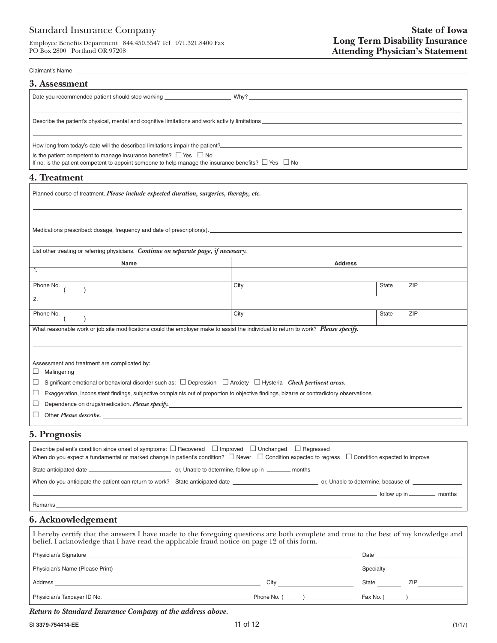## Standard Insurance Company

Employee Benefits Department 844.450.5547 Tel 971.321.8400 Fax PO Box 2800 Portland OR 97208

#### Claimant's Name

| 3. Assessment                                                                                                                                                                                                                                                                                                                                                                                                                    |  |  |  |  |
|----------------------------------------------------------------------------------------------------------------------------------------------------------------------------------------------------------------------------------------------------------------------------------------------------------------------------------------------------------------------------------------------------------------------------------|--|--|--|--|
| Date you recommended patient should stop working health why?                                                                                                                                                                                                                                                                                                                                                                     |  |  |  |  |
|                                                                                                                                                                                                                                                                                                                                                                                                                                  |  |  |  |  |
| How long from today's date will the described limitations impair the patient?<br>The state of the state of the state of the state of the state of the state of the state of the state of the state of the state of the state of<br>Is the patient competent to manage insurance benefits? $\Box$ Yes $\Box$ No<br>If no, is the patient competent to appoint someone to help manage the insurance benefits? $\Box$ Yes $\Box$ No |  |  |  |  |

#### **4. Treatment**

| Planned course of treatment. <i>Please include expected duration, surgeries, therapy, etc.</i>                                                  |      |                |            |  |
|-------------------------------------------------------------------------------------------------------------------------------------------------|------|----------------|------------|--|
|                                                                                                                                                 |      |                |            |  |
| Medications prescribed: dosage, frequency and date of prescription(s).                                                                          |      |                |            |  |
| List other treating or referring physicians. Continue on separate page, if necessary.                                                           |      |                |            |  |
| Name                                                                                                                                            |      | <b>Address</b> |            |  |
| 1.                                                                                                                                              |      |                |            |  |
| Phone No.                                                                                                                                       | City | State          | ZIP        |  |
| $\overline{2}$ .                                                                                                                                |      |                |            |  |
| Phone No.                                                                                                                                       | City | State          | <b>ZIP</b> |  |
| What reasonable work or job site modifications could the employer make to assist the individual to return to work? Please specify.              |      |                |            |  |
|                                                                                                                                                 |      |                |            |  |
|                                                                                                                                                 |      |                |            |  |
| Assessment and treatment are complicated by:<br>Malingering<br>ப                                                                                |      |                |            |  |
| Significant emotional or behavioral disorder such as: $\Box$ Depression $\Box$ Anxiety $\Box$ Hysteria Check pertinent areas.<br>⊔              |      |                |            |  |
| Exaggeration, inconsistent findings, subjective complaints out of proportion to objective findings, bizarre or contradictory observations.<br>⊔ |      |                |            |  |
| ⊔                                                                                                                                               |      |                |            |  |
|                                                                                                                                                 |      |                |            |  |
| ⊔<br>5. Prognosis                                                                                                                               |      |                |            |  |

# Describe patient's condition since onset of symptoms:  $\Box$  Recovered  $\Box$  Improved  $\Box$  Unchanged  $\Box$  Regressed When do you expect a fundamental or marked change in patient's condition?  $\Box$  Never  $\Box$  Condition expected to regress  $\Box$  Condition expected to improve State anticipated date or, Unable to determine, follow up in months When do you anticipate the patient can return to work? State anticipated date or, Unable to determine, because of follow up in \_\_\_\_\_\_\_\_\_\_\_ months Remarks\_

## **6. Acknowledgement**

| I hereby certify that the answers I have made to the foregoing questions are both complete and true to the best of my knowledge and belief. I acknowledge that I have read the applicable fraud notice on page 12 of this form      |                                                                                                                                                                                                                               |                                                                                                 |  |  |
|-------------------------------------------------------------------------------------------------------------------------------------------------------------------------------------------------------------------------------------|-------------------------------------------------------------------------------------------------------------------------------------------------------------------------------------------------------------------------------|-------------------------------------------------------------------------------------------------|--|--|
| Physician's Signature entrance and the contract of the contract of the contract of the contract of the contract of the contract of the contract of the contract of the contract of the contract of the contract of the contrac      |                                                                                                                                                                                                                               |                                                                                                 |  |  |
| Physician's Name (Please Print) <b>Example 2018</b> 2019 12:00:00 Physician's Name (Please Print)                                                                                                                                   |                                                                                                                                                                                                                               | Specialty ______________________                                                                |  |  |
| Address                                                                                                                                                                                                                             | City that the contract of the contract of the contract of the contract of the contract of the contract of the contract of the contract of the contract of the contract of the contract of the contract of the contract of the | <b>ZIP</b><br>State                                                                             |  |  |
| Physician's Taxpayer ID No. <u>Communications</u> and the control of the control of the control of the control of the control of the control of the control of the control of the control of the control of the control of the cont | Phone No. ( )                                                                                                                                                                                                                 | $\begin{bmatrix} \n\text{Fax No.} \quad \text{(} \quad \text{)} \quad \text{)} \n\end{bmatrix}$ |  |  |

 *Return to Standard Insurance Company at the address above.*